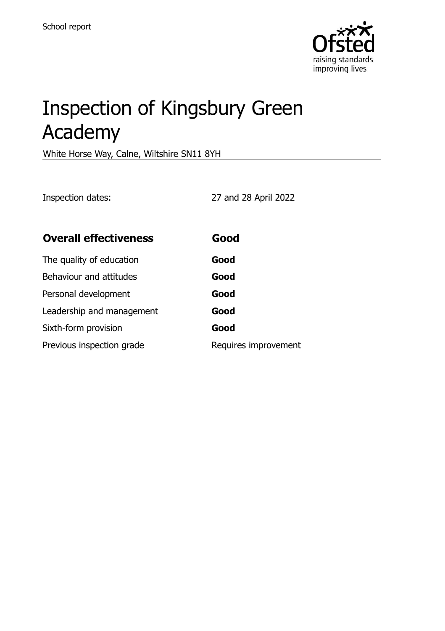

# Inspection of Kingsbury Green Academy

White Horse Way, Calne, Wiltshire SN11 8YH

Inspection dates: 27 and 28 April 2022

| <b>Overall effectiveness</b> | Good                 |
|------------------------------|----------------------|
| The quality of education     | Good                 |
| Behaviour and attitudes      | Good                 |
| Personal development         | Good                 |
| Leadership and management    | Good                 |
| Sixth-form provision         | Good                 |
| Previous inspection grade    | Requires improvement |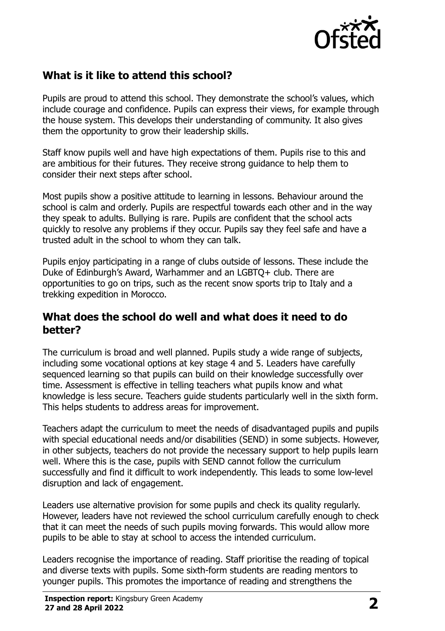

# **What is it like to attend this school?**

Pupils are proud to attend this school. They demonstrate the school's values, which include courage and confidence. Pupils can express their views, for example through the house system. This develops their understanding of community. It also gives them the opportunity to grow their leadership skills.

Staff know pupils well and have high expectations of them. Pupils rise to this and are ambitious for their futures. They receive strong guidance to help them to consider their next steps after school.

Most pupils show a positive attitude to learning in lessons. Behaviour around the school is calm and orderly. Pupils are respectful towards each other and in the way they speak to adults. Bullying is rare. Pupils are confident that the school acts quickly to resolve any problems if they occur. Pupils say they feel safe and have a trusted adult in the school to whom they can talk.

Pupils enjoy participating in a range of clubs outside of lessons. These include the Duke of Edinburgh's Award, Warhammer and an LGBTQ+ club. There are opportunities to go on trips, such as the recent snow sports trip to Italy and a trekking expedition in Morocco.

### **What does the school do well and what does it need to do better?**

The curriculum is broad and well planned. Pupils study a wide range of subjects, including some vocational options at key stage 4 and 5. Leaders have carefully sequenced learning so that pupils can build on their knowledge successfully over time. Assessment is effective in telling teachers what pupils know and what knowledge is less secure. Teachers guide students particularly well in the sixth form. This helps students to address areas for improvement.

Teachers adapt the curriculum to meet the needs of disadvantaged pupils and pupils with special educational needs and/or disabilities (SEND) in some subjects. However, in other subjects, teachers do not provide the necessary support to help pupils learn well. Where this is the case, pupils with SEND cannot follow the curriculum successfully and find it difficult to work independently. This leads to some low-level disruption and lack of engagement.

Leaders use alternative provision for some pupils and check its quality regularly. However, leaders have not reviewed the school curriculum carefully enough to check that it can meet the needs of such pupils moving forwards. This would allow more pupils to be able to stay at school to access the intended curriculum.

Leaders recognise the importance of reading. Staff prioritise the reading of topical and diverse texts with pupils. Some sixth-form students are reading mentors to younger pupils. This promotes the importance of reading and strengthens the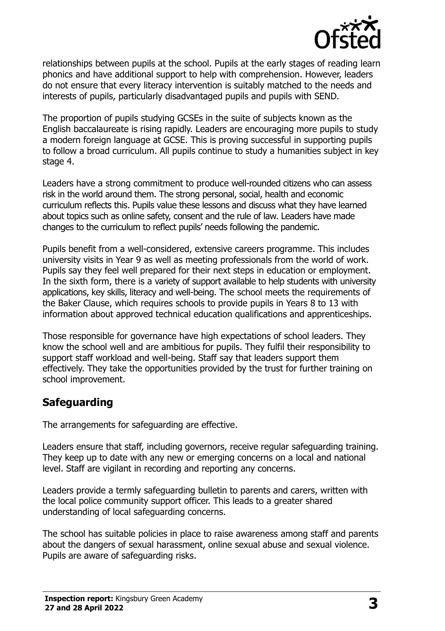

relationships between pupils at the school. Pupils at the early stages of reading learn phonics and have additional support to help with comprehension. However, leaders do not ensure that every literacy intervention is suitably matched to the needs and interests of pupils, particularly disadvantaged pupils and pupils with SEND.

The proportion of pupils studying GCSEs in the suite of subjects known as the English baccalaureate is rising rapidly. Leaders are encouraging more pupils to study a modern foreign language at GCSE. This is proving successful in supporting pupils to follow a broad curriculum. All pupils continue to study a humanities subject in key stage 4.

Leaders have a strong commitment to produce well-rounded citizens who can assess risk in the world around them. The strong personal, social, health and economic curriculum reflects this. Pupils value these lessons and discuss what they have learned about topics such as online safety, consent and the rule of law. Leaders have made changes to the curriculum to reflect pupils' needs following the pandemic.

Pupils benefit from a well-considered, extensive careers programme. This includes university visits in Year 9 as well as meeting professionals from the world of work. Pupils say they feel well prepared for their next steps in education or employment. In the sixth form, there is a variety of support available to help students with university applications, key skills, literacy and well-being. The school meets the requirements of the Baker Clause, which requires schools to provide pupils in Years 8 to 13 with information about approved technical education qualifications and apprenticeships.

Those responsible for governance have high expectations of school leaders. They know the school well and are ambitious for pupils. They fulfil their responsibility to support staff workload and well-being. Staff say that leaders support them effectively. They take the opportunities provided by the trust for further training on school improvement.

## **Safeguarding**

The arrangements for safeguarding are effective.

Leaders ensure that staff, including governors, receive regular safeguarding training. They keep up to date with any new or emerging concerns on a local and national level. Staff are vigilant in recording and reporting any concerns.

Leaders provide a termly safeguarding bulletin to parents and carers, written with the local police community support officer. This leads to a greater shared understanding of local safeguarding concerns.

The school has suitable policies in place to raise awareness among staff and parents about the dangers of sexual harassment, online sexual abuse and sexual violence. Pupils are aware of safeguarding risks.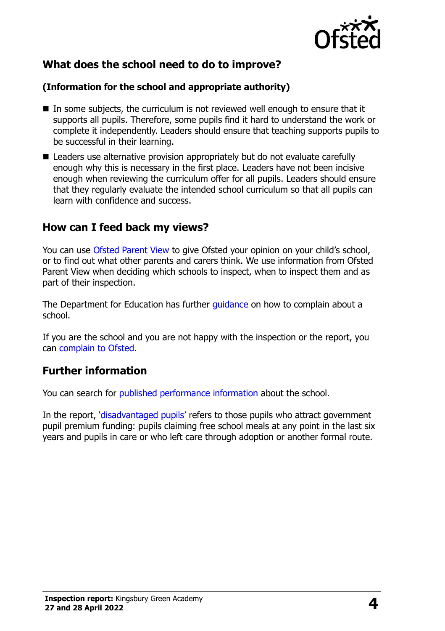

## **What does the school need to do to improve?**

#### **(Information for the school and appropriate authority)**

- In some subjects, the curriculum is not reviewed well enough to ensure that it supports all pupils. Therefore, some pupils find it hard to understand the work or complete it independently. Leaders should ensure that teaching supports pupils to be successful in their learning.
- Leaders use alternative provision appropriately but do not evaluate carefully enough why this is necessary in the first place. Leaders have not been incisive enough when reviewing the curriculum offer for all pupils. Leaders should ensure that they regularly evaluate the intended school curriculum so that all pupils can learn with confidence and success.

## **How can I feed back my views?**

You can use [Ofsted Parent View](http://parentview.ofsted.gov.uk/) to give Ofsted your opinion on your child's school, or to find out what other parents and carers think. We use information from Ofsted Parent View when deciding which schools to inspect, when to inspect them and as part of their inspection.

The Department for Education has further quidance on how to complain about a school.

If you are the school and you are not happy with the inspection or the report, you can [complain to Ofsted.](http://www.gov.uk/complain-ofsted-report)

## **Further information**

You can search for [published performance information](http://www.compare-school-performance.service.gov.uk/) about the school.

In the report, '[disadvantaged pupils](http://www.gov.uk/guidance/pupil-premium-information-for-schools-and-alternative-provision-settings)' refers to those pupils who attract government pupil premium funding: pupils claiming free school meals at any point in the last six years and pupils in care or who left care through adoption or another formal route.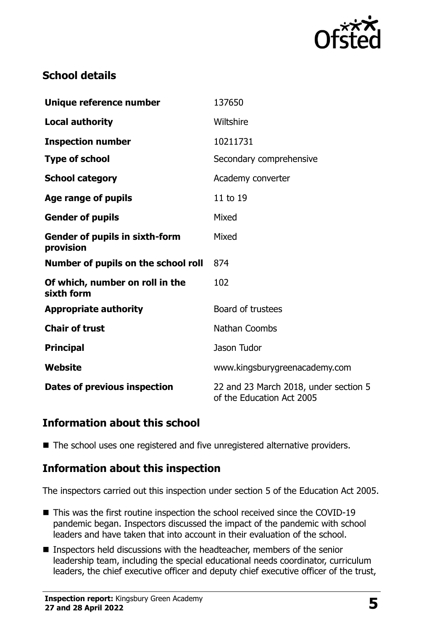

## **School details**

| Wiltshire                     |  |
|-------------------------------|--|
|                               |  |
| Secondary comprehensive       |  |
|                               |  |
|                               |  |
|                               |  |
|                               |  |
|                               |  |
|                               |  |
|                               |  |
|                               |  |
|                               |  |
|                               |  |
| www.kingsburygreenacademy.com |  |
|                               |  |

## **Information about this school**

■ The school uses one registered and five unregistered alternative providers.

## **Information about this inspection**

The inspectors carried out this inspection under section 5 of the Education Act 2005.

- This was the first routine inspection the school received since the COVID-19 pandemic began. Inspectors discussed the impact of the pandemic with school leaders and have taken that into account in their evaluation of the school.
- Inspectors held discussions with the headteacher, members of the senior leadership team, including the special educational needs coordinator, curriculum leaders, the chief executive officer and deputy chief executive officer of the trust,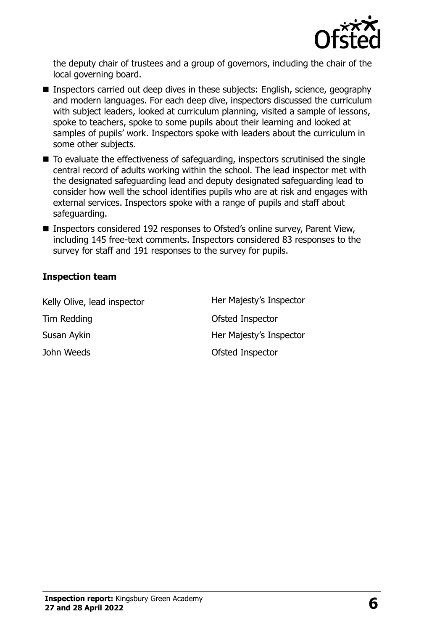

the deputy chair of trustees and a group of governors, including the chair of the local governing board.

- Inspectors carried out deep dives in these subjects: English, science, geography and modern languages. For each deep dive, inspectors discussed the curriculum with subject leaders, looked at curriculum planning, visited a sample of lessons, spoke to teachers, spoke to some pupils about their learning and looked at samples of pupils' work. Inspectors spoke with leaders about the curriculum in some other subjects.
- $\blacksquare$  To evaluate the effectiveness of safeguarding, inspectors scrutinised the single central record of adults working within the school. The lead inspector met with the designated safeguarding lead and deputy designated safeguarding lead to consider how well the school identifies pupils who are at risk and engages with external services. Inspectors spoke with a range of pupils and staff about safeguarding.
- Inspectors considered 192 responses to Ofsted's online survey, Parent View, including 145 free-text comments. Inspectors considered 83 responses to the survey for staff and 191 responses to the survey for pupils.

#### **Inspection team**

| Kelly Olive, lead inspector | Her Majesty's Inspector |
|-----------------------------|-------------------------|
| Tim Redding                 | <b>Ofsted Inspector</b> |
| Susan Aykin                 | Her Majesty's Inspector |
| John Weeds                  | <b>Ofsted Inspector</b> |